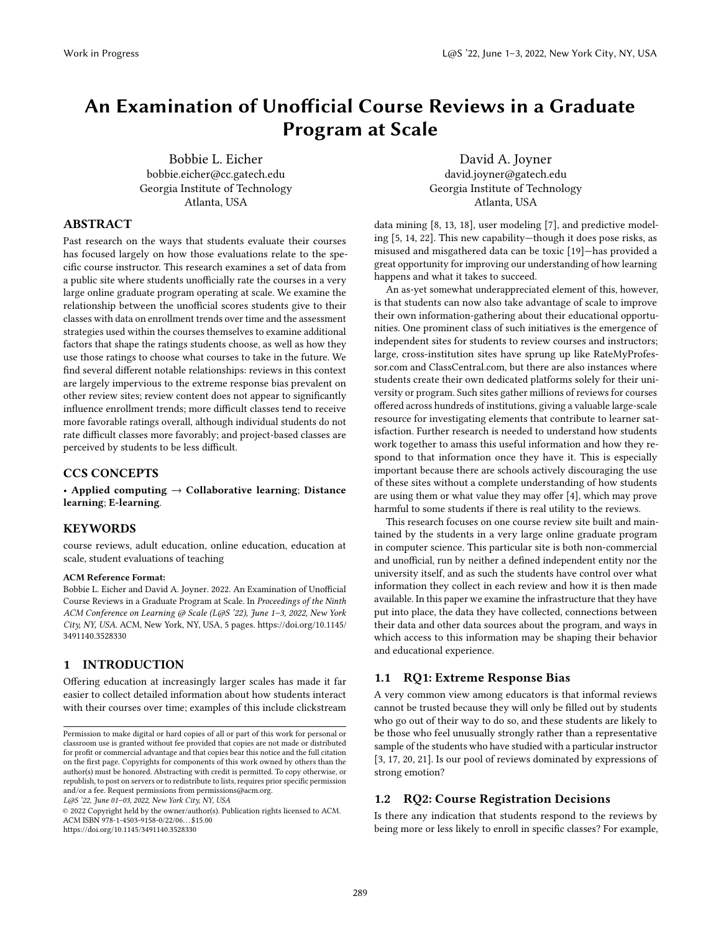# An Examination of Unofficial Course Reviews in a Graduate Program at Scale

[Bobbie L. Eicher](https://orcid.org/0000-0003-3159-0018) bobbie.eicher@cc.gatech.edu Georgia Institute of Technology Atlanta, USA

[David A. Joyner](https://orcid.org/0000-0003-0537-6229) david.joyner@gatech.edu Georgia Institute of Technology Atlanta, USA

#### ABSTRACT

Past research on the ways that students evaluate their courses has focused largely on how those evaluations relate to the specific course instructor. This research examines a set of data from a public site where students unofficially rate the courses in a very large online graduate program operating at scale. We examine the relationship between the unofficial scores students give to their classes with data on enrollment trends over time and the assessment strategies used within the courses themselves to examine additional factors that shape the ratings students choose, as well as how they use those ratings to choose what courses to take in the future. We find several different notable relationships: reviews in this context are largely impervious to the extreme response bias prevalent on other review sites; review content does not appear to significantly influence enrollment trends; more difficult classes tend to receive more favorable ratings overall, although individual students do not rate difficult classes more favorably; and project-based classes are perceived by students to be less difficult.

# CCS CONCEPTS

• Applied computing  $\rightarrow$  Collaborative learning; Distance learning; E-learning.

# **KEYWORDS**

course reviews, adult education, online education, education at scale, student evaluations of teaching

#### ACM Reference Format:

Bobbie L. Eicher and David A. Joyner. 2022. An Examination of Unofficial Course Reviews in a Graduate Program at Scale. In Proceedings of the Ninth ACM Conference on Learning @ Scale (L@S '22), June 1–3, 2022, New York City, NY, USA. ACM, New York, NY, USA, [5](#page-4-0) pages. [https://doi.org/10.1145/](https://doi.org/10.1145/3491140.3528330) [3491140.3528330](https://doi.org/10.1145/3491140.3528330)

#### 1 INTRODUCTION

Offering education at increasingly larger scales has made it far easier to collect detailed information about how students interact with their courses over time; examples of this include clickstream

L@S '22, June 01–03, 2022, New York City, NY, USA

© 2022 Copyright held by the owner/author(s). Publication rights licensed to ACM. ACM ISBN 978-1-4503-9158-0/22/06. . . \$15.00 <https://doi.org/10.1145/3491140.3528330>

data mining [\[8,](#page-4-1) [13,](#page-4-2) [18\]](#page-4-3), user modeling [\[7\]](#page-4-4), and predictive modeling [\[5,](#page-4-5) [14,](#page-4-6) [22\]](#page-4-7). This new capability—though it does pose risks, as misused and misgathered data can be toxic [\[19\]](#page-4-8)—has provided a great opportunity for improving our understanding of how learning happens and what it takes to succeed.

An as-yet somewhat underappreciated element of this, however, is that students can now also take advantage of scale to improve their own information-gathering about their educational opportunities. One prominent class of such initiatives is the emergence of independent sites for students to review courses and instructors; large, cross-institution sites have sprung up like RateMyProfessor.com and ClassCentral.com, but there are also instances where students create their own dedicated platforms solely for their university or program. Such sites gather millions of reviews for courses offered across hundreds of institutions, giving a valuable large-scale resource for investigating elements that contribute to learner satisfaction. Further research is needed to understand how students work together to amass this useful information and how they respond to that information once they have it. This is especially important because there are schools actively discouraging the use of these sites without a complete understanding of how students are using them or what value they may offer [\[4\]](#page-4-9), which may prove harmful to some students if there is real utility to the reviews.

This research focuses on one course review site built and maintained by the students in a very large online graduate program in computer science. This particular site is both non-commercial and unofficial, run by neither a defined independent entity nor the university itself, and as such the students have control over what information they collect in each review and how it is then made available. In this paper we examine the infrastructure that they have put into place, the data they have collected, connections between their data and other data sources about the program, and ways in which access to this information may be shaping their behavior and educational experience.

# 1.1 RQ1: Extreme Response Bias

A very common view among educators is that informal reviews cannot be trusted because they will only be filled out by students who go out of their way to do so, and these students are likely to be those who feel unusually strongly rather than a representative sample of the students who have studied with a particular instructor [\[3,](#page-4-10) [17,](#page-4-11) [20,](#page-4-12) [21\]](#page-4-13). Is our pool of reviews dominated by expressions of strong emotion?

#### 1.2 RQ2: Course Registration Decisions

Is there any indication that students respond to the reviews by being more or less likely to enroll in specific classes? For example,

Permission to make digital or hard copies of all or part of this work for personal or classroom use is granted without fee provided that copies are not made or distributed for profit or commercial advantage and that copies bear this notice and the full citation on the first page. Copyrights for components of this work owned by others than the author(s) must be honored. Abstracting with credit is permitted. To copy otherwise, or republish, to post on servers or to redistribute to lists, requires prior specific permission and/or a fee. Request permissions from permissions@acm.org.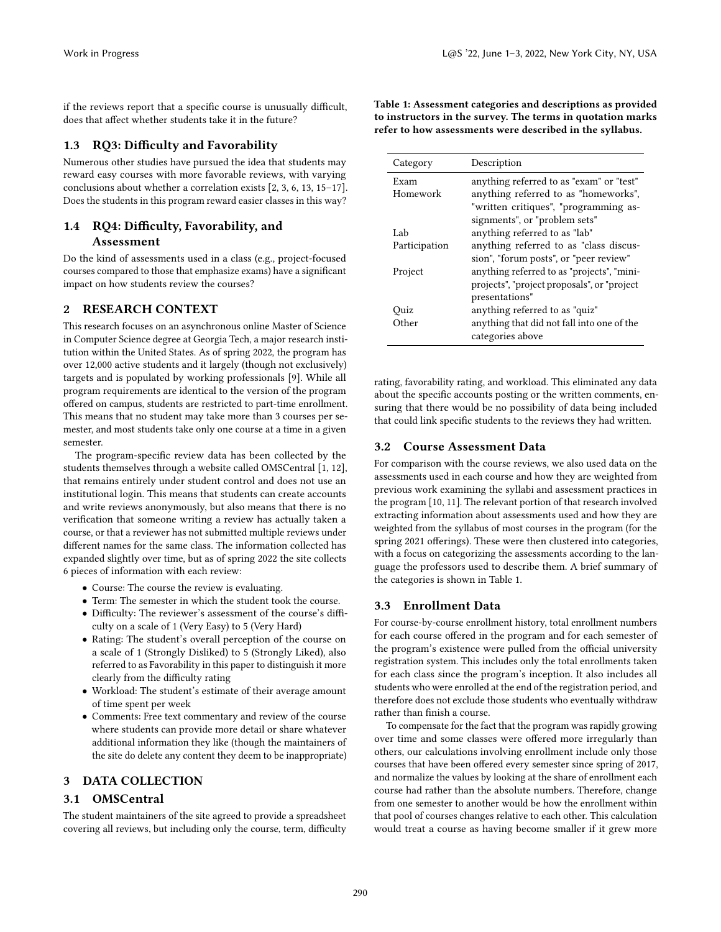if the reviews report that a specific course is unusually difficult, does that affect whether students take it in the future?

# 1.3 RQ3: Difficulty and Favorability

Numerous other studies have pursued the idea that students may reward easy courses with more favorable reviews, with varying conclusions about whether a correlation exists [\[2,](#page-4-14) [3,](#page-4-10) [6,](#page-4-15) [13,](#page-4-2) [15–](#page-4-16)[17\]](#page-4-11). Does the students in this program reward easier classes in this way?

# 1.4 RQ4: Difficulty, Favorability, and Assessment

Do the kind of assessments used in a class (e.g., project-focused courses compared to those that emphasize exams) have a significant impact on how students review the courses?

# 2 RESEARCH CONTEXT

This research focuses on an asynchronous online Master of Science in Computer Science degree at Georgia Tech, a major research institution within the United States. As of spring 2022, the program has over 12,000 active students and it largely (though not exclusively) targets and is populated by working professionals [\[9\]](#page-4-17). While all program requirements are identical to the version of the program offered on campus, students are restricted to part-time enrollment. This means that no student may take more than 3 courses per semester, and most students take only one course at a time in a given semester.

The program-specific review data has been collected by the students themselves through a website called OMSCentral [\[1,](#page-4-18) [12\]](#page-4-19), that remains entirely under student control and does not use an institutional login. This means that students can create accounts and write reviews anonymously, but also means that there is no verification that someone writing a review has actually taken a course, or that a reviewer has not submitted multiple reviews under different names for the same class. The information collected has expanded slightly over time, but as of spring 2022 the site collects 6 pieces of information with each review:

- Course: The course the review is evaluating.
- Term: The semester in which the student took the course.
- Difficulty: The reviewer's assessment of the course's difficulty on a scale of 1 (Very Easy) to 5 (Very Hard)
- Rating: The student's overall perception of the course on a scale of 1 (Strongly Disliked) to 5 (Strongly Liked), also referred to as Favorability in this paper to distinguish it more clearly from the difficulty rating
- Workload: The student's estimate of their average amount of time spent per week
- Comments: Free text commentary and review of the course where students can provide more detail or share whatever additional information they like (though the maintainers of the site do delete any content they deem to be inappropriate)

# 3 DATA COLLECTION

# 3.1 OMSCentral

The student maintainers of the site agreed to provide a spreadsheet covering all reviews, but including only the course, term, difficulty <span id="page-1-0"></span>Table 1: Assessment categories and descriptions as provided to instructors in the survey. The terms in quotation marks refer to how assessments were described in the syllabus.

| Category      | Description                                 |  |  |
|---------------|---------------------------------------------|--|--|
| Exam          | anything referred to as "exam" or "test"    |  |  |
| Homework      | anything referred to as "homeworks",        |  |  |
|               | "written critiques", "programming as-       |  |  |
|               | signments", or "problem sets"               |  |  |
| Lab           | anything referred to as "lab"               |  |  |
| Participation | anything referred to as "class discus-      |  |  |
|               | sion", "forum posts", or "peer review"      |  |  |
| Project       | anything referred to as "projects", "mini-  |  |  |
|               | projects", "project proposals", or "project |  |  |
|               | presentations"                              |  |  |
| Quiz          | anything referred to as "quiz"              |  |  |
| Other         | anything that did not fall into one of the  |  |  |
|               | categories above                            |  |  |

rating, favorability rating, and workload. This eliminated any data about the specific accounts posting or the written comments, ensuring that there would be no possibility of data being included that could link specific students to the reviews they had written.

# 3.2 Course Assessment Data

For comparison with the course reviews, we also used data on the assessments used in each course and how they are weighted from previous work examining the syllabi and assessment practices in the program [\[10,](#page-4-20) [11\]](#page-4-21). The relevant portion of that research involved extracting information about assessments used and how they are weighted from the syllabus of most courses in the program (for the spring 2021 offerings). These were then clustered into categories, with a focus on categorizing the assessments according to the language the professors used to describe them. A brief summary of the categories is shown in Table [1.](#page-1-0)

# 3.3 Enrollment Data

For course-by-course enrollment history, total enrollment numbers for each course offered in the program and for each semester of the program's existence were pulled from the official university registration system. This includes only the total enrollments taken for each class since the program's inception. It also includes all students who were enrolled at the end of the registration period, and therefore does not exclude those students who eventually withdraw rather than finish a course.

To compensate for the fact that the program was rapidly growing over time and some classes were offered more irregularly than others, our calculations involving enrollment include only those courses that have been offered every semester since spring of 2017, and normalize the values by looking at the share of enrollment each course had rather than the absolute numbers. Therefore, change from one semester to another would be how the enrollment within that pool of courses changes relative to each other. This calculation would treat a course as having become smaller if it grew more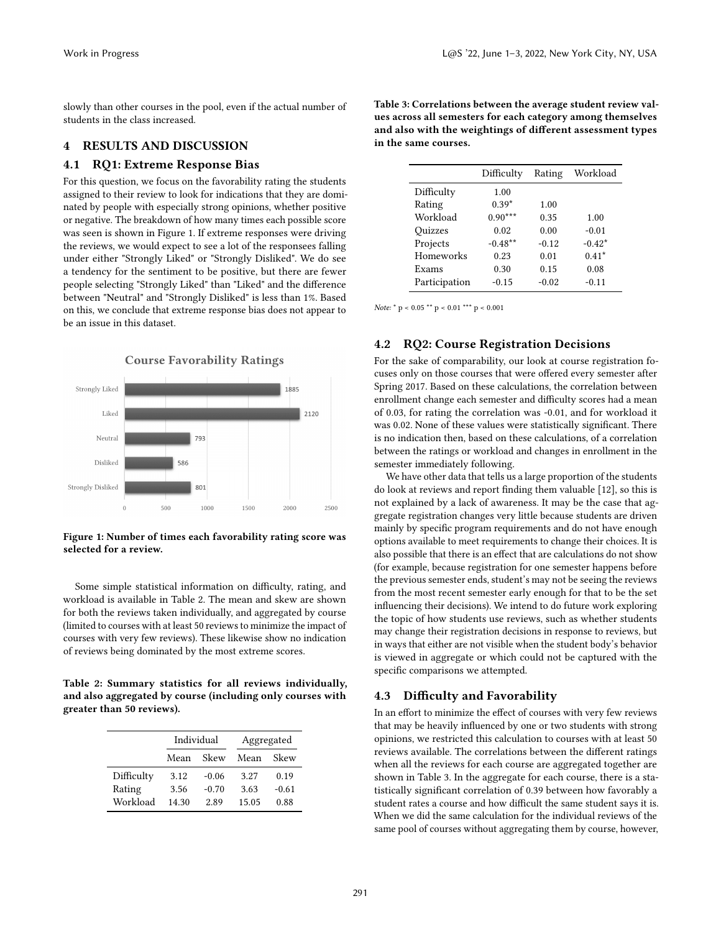slowly than other courses in the pool, even if the actual number of students in the class increased.

#### 4 RESULTS AND DISCUSSION

#### 4.1 RQ1: Extreme Response Bias

For this question, we focus on the favorability rating the students assigned to their review to look for indications that they are dominated by people with especially strong opinions, whether positive or negative. The breakdown of how many times each possible score was seen is shown in Figure [1.](#page-2-0) If extreme responses were driving the reviews, we would expect to see a lot of the responsees falling under either "Strongly Liked" or "Strongly Disliked". We do see a tendency for the sentiment to be positive, but there are fewer people selecting "Strongly Liked" than "Liked" and the difference between "Neutral" and "Strongly Disliked" is less than 1%. Based on this, we conclude that extreme response bias does not appear to be an issue in this dataset.

<span id="page-2-0"></span>

Figure 1: Number of times each favorability rating score was selected for a review.

Some simple statistical information on difficulty, rating, and workload is available in Table [2.](#page-2-1) The mean and skew are shown for both the reviews taken individually, and aggregated by course (limited to courses with at least 50 reviews to minimize the impact of courses with very few reviews). These likewise show no indication of reviews being dominated by the most extreme scores.

<span id="page-2-1"></span>Table 2: Summary statistics for all reviews individually, and also aggregated by course (including only courses with greater than 50 reviews).

|            | Individual |         | Aggregated |         |
|------------|------------|---------|------------|---------|
|            | Mean       | Skew    | Mean       | Skew    |
| Difficulty | 3.12       | $-0.06$ | 3.27       | 0.19    |
| Rating     | 3.56       | $-0.70$ | 3.63       | $-0.61$ |
| Workload   | 14.30      | 2.89    | 15.05      | 0.88    |

<span id="page-2-2"></span>Table 3: Correlations between the average student review values across all semesters for each category among themselves and also with the weightings of different assessment types in the same courses.

|               | Difficulty | Rating  | Workload |
|---------------|------------|---------|----------|
| Difficulty    | 1.00       |         |          |
| Rating        | $0.39*$    | 1.00    |          |
| Workload      | $0.90***$  | 0.35    | 1.00     |
| Ouizzes       | 0.02       | 0.00    | $-0.01$  |
| Projects      | $-0.48**$  | $-0.12$ | $-0.42*$ |
| Homeworks     | 0.23       | 0.01    | $0.41*$  |
| Exams         | 0.30       | 0.15    | 0.08     |
| Participation | $-0.15$    | $-0.02$ | $-0.11$  |

Note:  $*$  p < 0.05  $**$  p < 0.01  $***$  p < 0.001

#### 4.2 RQ2: Course Registration Decisions

For the sake of comparability, our look at course registration focuses only on those courses that were offered every semester after Spring 2017. Based on these calculations, the correlation between enrollment change each semester and difficulty scores had a mean of 0.03, for rating the correlation was -0.01, and for workload it was 0.02. None of these values were statistically significant. There is no indication then, based on these calculations, of a correlation between the ratings or workload and changes in enrollment in the semester immediately following.

We have other data that tells us a large proportion of the students do look at reviews and report finding them valuable [\[12\]](#page-4-19), so this is not explained by a lack of awareness. It may be the case that aggregate registration changes very little because students are driven mainly by specific program requirements and do not have enough options available to meet requirements to change their choices. It is also possible that there is an effect that are calculations do not show (for example, because registration for one semester happens before the previous semester ends, student's may not be seeing the reviews from the most recent semester early enough for that to be the set influencing their decisions). We intend to do future work exploring the topic of how students use reviews, such as whether students may change their registration decisions in response to reviews, but in ways that either are not visible when the student body's behavior is viewed in aggregate or which could not be captured with the specific comparisons we attempted.

# 4.3 Difficulty and Favorability

In an effort to minimize the effect of courses with very few reviews that may be heavily influenced by one or two students with strong opinions, we restricted this calculation to courses with at least 50 reviews available. The correlations between the different ratings when all the reviews for each course are aggregated together are shown in Table [3.](#page-2-2) In the aggregate for each course, there is a statistically significant correlation of 0.39 between how favorably a student rates a course and how difficult the same student says it is. When we did the same calculation for the individual reviews of the same pool of courses without aggregating them by course, however,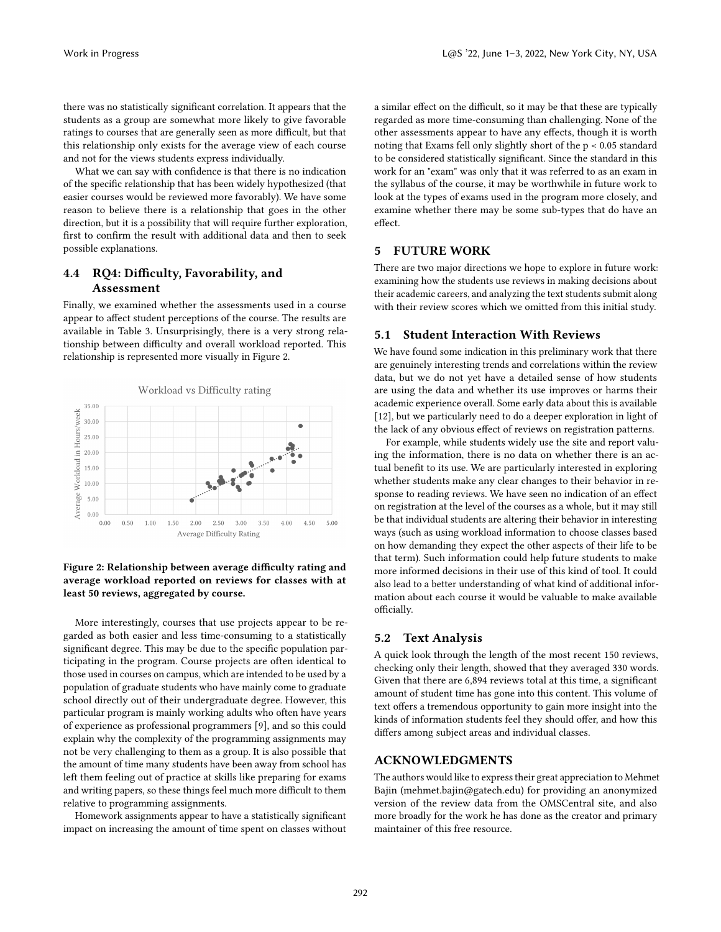there was no statistically significant correlation. It appears that the students as a group are somewhat more likely to give favorable ratings to courses that are generally seen as more difficult, but that this relationship only exists for the average view of each course and not for the views students express individually.

What we can say with confidence is that there is no indication of the specific relationship that has been widely hypothesized (that easier courses would be reviewed more favorably). We have some reason to believe there is a relationship that goes in the other direction, but it is a possibility that will require further exploration, first to confirm the result with additional data and then to seek possible explanations.

# 4.4 RQ4: Difficulty, Favorability, and Assessment

Finally, we examined whether the assessments used in a course appear to affect student perceptions of the course. The results are available in Table [3.](#page-2-2) Unsurprisingly, there is a very strong relationship between difficulty and overall workload reported. This relationship is represented more visually in Figure [2.](#page-3-0)

<span id="page-3-0"></span>

#### Figure 2: Relationship between average difficulty rating and average workload reported on reviews for classes with at least 50 reviews, aggregated by course.

More interestingly, courses that use projects appear to be regarded as both easier and less time-consuming to a statistically significant degree. This may be due to the specific population participating in the program. Course projects are often identical to those used in courses on campus, which are intended to be used by a population of graduate students who have mainly come to graduate school directly out of their undergraduate degree. However, this particular program is mainly working adults who often have years of experience as professional programmers [\[9\]](#page-4-17), and so this could explain why the complexity of the programming assignments may not be very challenging to them as a group. It is also possible that the amount of time many students have been away from school has left them feeling out of practice at skills like preparing for exams and writing papers, so these things feel much more difficult to them relative to programming assignments.

Homework assignments appear to have a statistically significant impact on increasing the amount of time spent on classes without a similar effect on the difficult, so it may be that these are typically regarded as more time-consuming than challenging. None of the other assessments appear to have any effects, though it is worth noting that Exams fell only slightly short of the p < 0.05 standard to be considered statistically significant. Since the standard in this work for an "exam" was only that it was referred to as an exam in the syllabus of the course, it may be worthwhile in future work to look at the types of exams used in the program more closely, and examine whether there may be some sub-types that do have an effect.

#### 5 FUTURE WORK

There are two major directions we hope to explore in future work: examining how the students use reviews in making decisions about their academic careers, and analyzing the text students submit along with their review scores which we omitted from this initial study.

#### 5.1 Student Interaction With Reviews

We have found some indication in this preliminary work that there are genuinely interesting trends and correlations within the review data, but we do not yet have a detailed sense of how students are using the data and whether its use improves or harms their academic experience overall. Some early data about this is available [\[12\]](#page-4-19), but we particularly need to do a deeper exploration in light of the lack of any obvious effect of reviews on registration patterns.

For example, while students widely use the site and report valuing the information, there is no data on whether there is an actual benefit to its use. We are particularly interested in exploring whether students make any clear changes to their behavior in response to reading reviews. We have seen no indication of an effect on registration at the level of the courses as a whole, but it may still be that individual students are altering their behavior in interesting ways (such as using workload information to choose classes based on how demanding they expect the other aspects of their life to be that term). Such information could help future students to make more informed decisions in their use of this kind of tool. It could also lead to a better understanding of what kind of additional information about each course it would be valuable to make available officially.

#### 5.2 Text Analysis

A quick look through the length of the most recent 150 reviews, checking only their length, showed that they averaged 330 words. Given that there are 6,894 reviews total at this time, a significant amount of student time has gone into this content. This volume of text offers a tremendous opportunity to gain more insight into the kinds of information students feel they should offer, and how this differs among subject areas and individual classes.

#### ACKNOWLEDGMENTS

The authors would like to express their great appreciation to Mehmet Bajin (mehmet.bajin@gatech.edu) for providing an anonymized version of the review data from the OMSCentral site, and also more broadly for the work he has done as the creator and primary maintainer of this free resource.